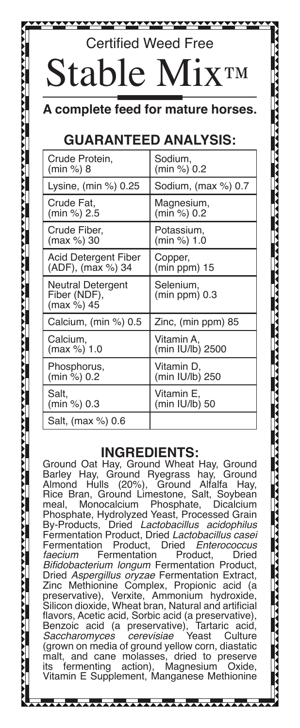# Certified Weed Free Stable M

**A** complete feed for mature

## **GUARANTEED ANALYSIS:**

| Crude Protein,                                         | Sodium.                      |
|--------------------------------------------------------|------------------------------|
| (min %) 8                                              | (min %) 0.2                  |
| Lysine, (min %) 0.25                                   | Sodium, (max %) 0.7          |
| Crude Fat,                                             | Magnesium,                   |
| (min %) 2.5                                            | (min %) 0.2                  |
| Crude Fiber,                                           | Potassium,                   |
| (max %) 30                                             | (min %) 1.0                  |
| Acid Detergent Fiber                                   | Copper,                      |
| (ADF), (max %) 34                                      | $(min ppm)$ 15               |
| <b>Neutral Detergent</b><br>Fiber (NDF),<br>(max %) 45 | Selenium,<br>$(min ppm)$ 0.3 |
| Calcium, (min %) 0.5                                   | Zinc, (min ppm) 85           |
| Calcium,                                               | Vitamin A.                   |
| (max %) 1.0                                            | (min IU/lb) 2500             |
| Phosphorus,                                            | Vitamin D.                   |
| (min %) 0.2                                            | (min IU/lb) 250              |
| Salt.                                                  | Vitamin E.                   |
| (min %) 0.3                                            | (min IU/lb) 50               |
| Salt. (max %) 0.6                                      |                              |

#### **INGREDIENTS:**

Ground Oat Hay, Ground Wheat Hay, Ground Barley Hay, Ground Ryegrass hay, Ground Almond Hulls (20%), Ground Alfalfa Hay, Rice Bran, Ground Limestone, Salt, Soybean meal, Monocalcium Phosphate, Dicalcium Phosphate, Hydrolyzed Yeast, Processed Grain<br>By-Products, Dried Lactobacillus acidophilus **Dried Lactobacillus acidophilus** Fermentation Product, Dried *Lactobacillus casei* Fermentation Product, Dried *Enterococcus faecium* Fermentation Product, Dried Bifidobacterium longum Fermentation Product, Dried Aspergillus oryzae Fermentation Extract, Zinc Methionine Complex, Propionic acid (a preservative), Verxite, Ammonium hydroxide, Silicon dioxide, Wheat bran, Natural and artificial flavors, Acetic acid, Sorbic acid (a preservative), Benzoic acid (a preservative), Tartaric acid,<br>Saccharomyces cerevisiae Yeast Culture Saccharomyces (grown on media of ground yellow corn, diastatic malt, and cane molasses, dried to preserve<br>its fermenting action), Magnesium Oxide, Magnesium Vitamin E Supplement, Manganese Methionine

\_\_\_\_\_\_\_\_\_\_\_\_\_\_\_\_\_\_\_\_\_\_\_\_\_\_\_\_\_\_\_\_